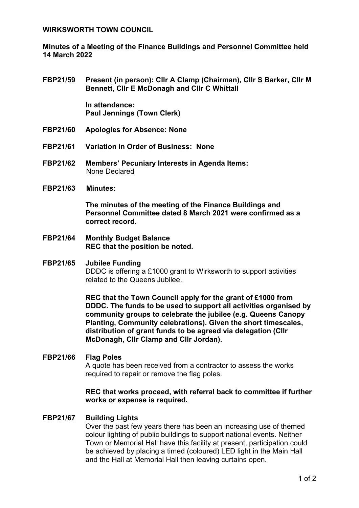### **WIRKSWORTH TOWN COUNCIL**

**Minutes of a Meeting of the Finance Buildings and Personnel Committee held 14 March 2022**

**FBP21/59 Present (in person): Cllr A Clamp (Chairman), Cllr S Barker, Cllr M Bennett, Cllr E McDonagh and Cllr C Whittall**

> **In attendance: Paul Jennings (Town Clerk)**

- **FBP21/60 Apologies for Absence: None**
- **FBP21/61 Variation in Order of Business: None**
- **FBP21/62 Members' Pecuniary Interests in Agenda Items:**  None Declared
- **FBP21/63 Minutes:**

**The minutes of the meeting of the Finance Buildings and Personnel Committee dated 8 March 2021 were confirmed as a correct record.**

- **FBP21/64 Monthly Budget Balance REC that the position be noted.**
- **FBP21/65 Jubilee Funding** DDDC is offering a £1000 grant to Wirksworth to support activities related to the Queens Jubilee.

**REC that the Town Council apply for the grant of £1000 from DDDC. The funds to be used to support all activities organised by community groups to celebrate the jubilee (e.g. Queens Canopy Planting, Community celebrations). Given the short timescales, distribution of grant funds to be agreed via delegation (Cllr McDonagh, Cllr Clamp and Cllr Jordan).** 

# **FBP21/66 Flag Poles**

A quote has been received from a contractor to assess the works required to repair or remove the flag poles.

### **REC that works proceed, with referral back to committee if further works or expense is required.**

# **FBP21/67 Building Lights**

Over the past few years there has been an increasing use of themed colour lighting of public buildings to support national events. Neither Town or Memorial Hall have this facility at present, participation could be achieved by placing a timed (coloured) LED light in the Main Hall and the Hall at Memorial Hall then leaving curtains open.